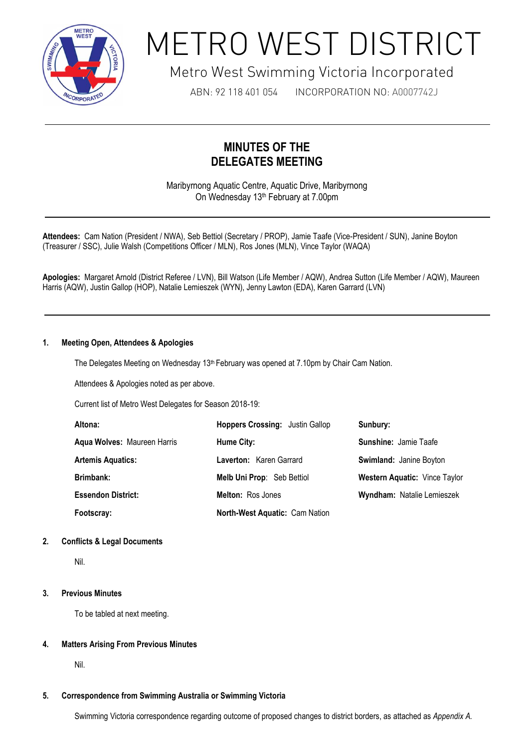

# METRO WEST DISTRICT

## Metro West Swimming Victoria Incorporated

ABN: 92 118 401 054 INCORPORATION NO: A0007742J

### **MINUTES OF THE DELEGATES MEETING**

Maribyrnong Aquatic Centre, Aquatic Drive, Maribyrnong On Wednesday 13<sup>th</sup> February at 7.00pm

**Attendees:** Cam Nation (President / NWA), Seb Bettiol (Secretary / PROP), Jamie Taafe (Vice-President / SUN), Janine Boyton (Treasurer / SSC), Julie Walsh (Competitions Officer / MLN), Ros Jones (MLN), Vince Taylor (WAQA)

**Apologies:** Margaret Arnold (District Referee / LVN), Bill Watson (Life Member / AQW), Andrea Sutton (Life Member / AQW), Maureen Harris (AQW), Justin Gallop (HOP), Natalie Lemieszek (WYN), Jenny Lawton (EDA), Karen Garrard (LVN)

#### **1. Meeting Open, Attendees & Apologies**

The Delegates Meeting on Wednesday 13<sup>th</sup> February was opened at 7.10pm by Chair Cam Nation.

Attendees & Apologies noted as per above.

1

Current list of Metro West Delegates for Season 2018-19:

| Altona:                     | <b>Hoppers Crossing: Justin Gallop</b> | Sunbury:                             |
|-----------------------------|----------------------------------------|--------------------------------------|
| Agua Wolves: Maureen Harris | Hume City:                             | <b>Sunshine: Jamie Taafe</b>         |
| <b>Artemis Aquatics:</b>    | Laverton: Karen Garrard                | Swimland: Janine Boyton              |
| Brimbank:                   | Melb Uni Prop: Seb Bettiol             | <b>Western Aquatic: Vince Taylor</b> |
| <b>Essendon District:</b>   | <b>Melton: Ros Jones</b>               | Wyndham: Natalie Lemieszek           |
| Footscray:                  | North-West Aquatic: Cam Nation         |                                      |

#### **2. Conflicts & Legal Documents**

Nil.

#### **3. Previous Minutes**

To be tabled at next meeting.

#### **4. Matters Arising From Previous Minutes**

Nil.

#### **5. Correspondence from Swimming Australia or Swimming Victoria**

Swimming Victoria correspondence regarding outcome of proposed changes to district borders, as attached as *Appendix A.*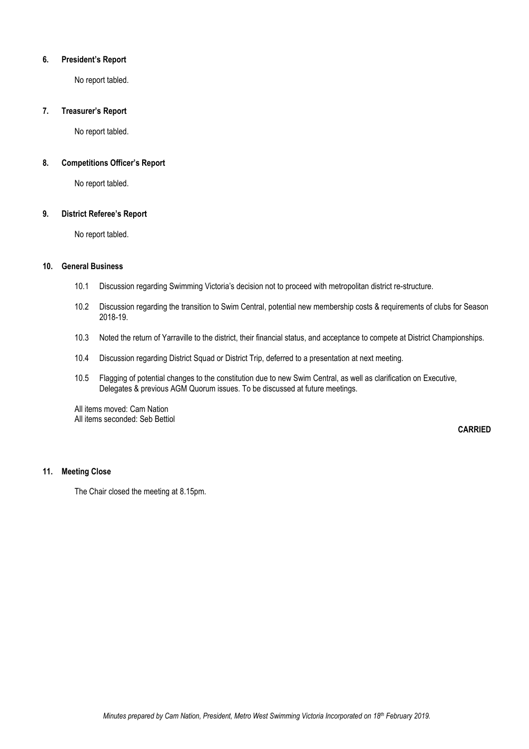#### **6. President's Report**

No report tabled.

#### **7. Treasurer's Report**

No report tabled.

#### **8. Competitions Officer's Report**

No report tabled.

#### **9. District Referee's Report**

No report tabled.

#### **10. General Business**

- 10.1 Discussion regarding Swimming Victoria's decision not to proceed with metropolitan district re-structure.
- 10.2 Discussion regarding the transition to Swim Central, potential new membership costs & requirements of clubs for Season 2018-19.
- 10.3 Noted the return of Yarraville to the district, their financial status, and acceptance to compete at District Championships.
- 10.4 Discussion regarding District Squad or District Trip, deferred to a presentation at next meeting.
- 10.5 Flagging of potential changes to the constitution due to new Swim Central, as well as clarification on Executive, Delegates & previous AGM Quorum issues. To be discussed at future meetings.

All items moved: Cam Nation All items seconded: Seb Bettiol

**CARRIED**

#### **11. Meeting Close**

The Chair closed the meeting at 8.15pm.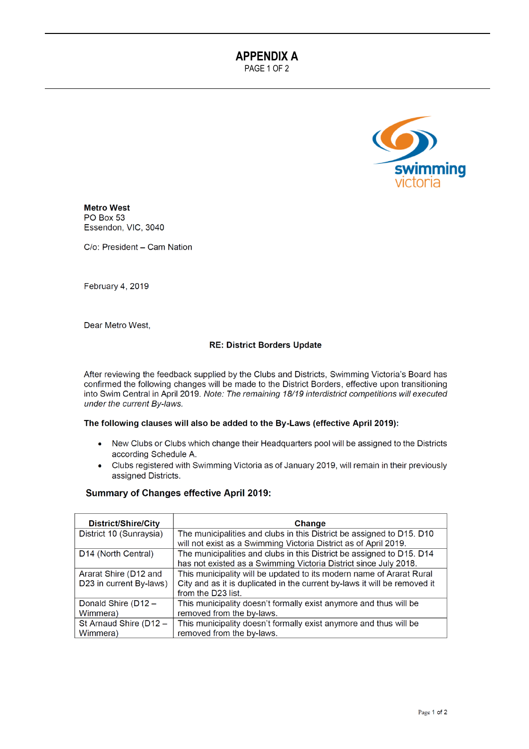**APPENDIX A** 

PAGE 1 OF 2



**Metro West** PO Box 53 Essendon, VIC, 3040

C/o: President - Cam Nation

February 4, 2019

Dear Metro West.

#### **RE: District Borders Update**

After reviewing the feedback supplied by the Clubs and Districts, Swimming Victoria's Board has confirmed the following changes will be made to the District Borders, effective upon transitioning into Swim Central in April 2019. Note: The remaining 18/19 interdistrict competitions will executed under the current By-laws.

#### The following clauses will also be added to the By-Laws (effective April 2019):

- New Clubs or Clubs which change their Headquarters pool will be assigned to the Districts according Schedule A.
- Clubs registered with Swimming Victoria as of January 2019, will remain in their previously  $\bullet$ assigned Districts.

#### **Summary of Changes effective April 2019:**

| District/Shire/City             | Change                                                                    |
|---------------------------------|---------------------------------------------------------------------------|
| District 10 (Sunraysia)         | The municipalities and clubs in this District be assigned to D15. D10     |
|                                 | will not exist as a Swimming Victoria District as of April 2019.          |
| D <sub>14</sub> (North Central) | The municipalities and clubs in this District be assigned to D15. D14     |
|                                 | has not existed as a Swimming Victoria District since July 2018.          |
| Ararat Shire (D12 and           | This municipality will be updated to its modern name of Ararat Rural      |
| D23 in current By-laws)         | City and as it is duplicated in the current by-laws it will be removed it |
|                                 | from the D23 list.                                                        |
| Donald Shire (D12 -             | This municipality doesn't formally exist anymore and thus will be         |
| Wimmera)                        | removed from the by-laws.                                                 |
| St Arnaud Shire (D12 -          | This municipality doesn't formally exist anymore and thus will be         |
| Wimmera)                        | removed from the by-laws.                                                 |